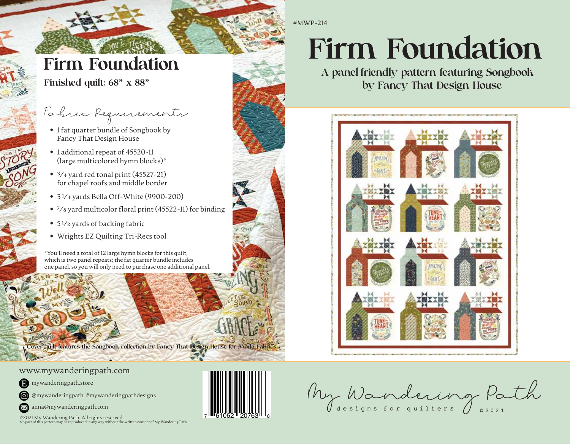#MWP-214

# Firm Foundation

Finished quilt: 68" x 88"

# Fabric Requirements

- 1 fat quarter bundle of Songbook by Fancy That Design House
- 1 additional repeat of 45520-11 (large multicolored hymn blocks)\*
- $\bullet$  <sup>3</sup>/<sub>4</sub> yard red tonal print (45527-21) for chapel roofs and middle border
- 3 1⁄4 yards Bella Off-White (9900-200)
- 7⁄8 yard multicolor floral print (45522-11) for binding
- 5 1⁄2 yards of backing fabric
- Wrights EZ Quilting Tri-Recs tool

\*You'll need a total of 12 large hymn blocks for this quilt, which is two panel repeats; the fat quarter bundle includes one panel, so you will only need to purchase one additional panel.

Cover quilt features the Songbook collection by Fancy That Design House for Moda Fabri

#### www.mywanderingpath.com

- **D** mywanderingpath.store
- @mywanderingpath #mywanderingpathdesigns

 $\bowtie$  anna@mywanderingpath.com

©2021 My Wandering Path. All rights reserved. No part of this pattern may be reproduced in any way without the written consent of My Wandering Path.



# Firm Foundation

by Fancy That Design House A panel-friendly pattern featuring Songbook



designs for quilters ©2021 My Wandering Path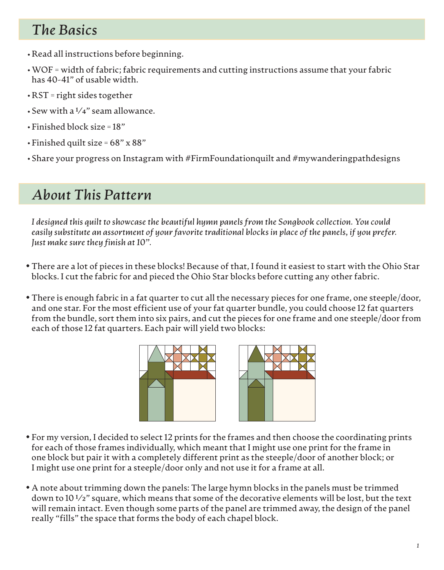# *The Basics*

- •Read all instructions before beginning.
- WOF = width of fabric; fabric requirements and cutting instructions assume that your fabric has 40-41" of usable width.
- RST = right sides together •
- $\cdot$  Sew with a  $\frac{1}{4}$ " seam allowance.
- Finished block size = 18" •
- Finished quilt size = 68" x 88" •
- Share your progress on Instagram with #FirmFoundationquilt and #mywanderingpathdesigns •

# *About This Pattern*

*I designed this quilt to showcase the beautiful hymn panels from the Songbook collection. You could easily substitute an assortment of your favorite traditional blocks in place of the panels, if you prefer. Just make sure they finish at 10".*

- There are a lot of pieces in these blocks! Because of that, I found it easiest to start with the Ohio Star blocks. I cut the fabric for and pieced the Ohio Star blocks before cutting any other fabric.
- There is enough fabric in a fat quarter to cut all the necessary pieces for one frame, one steeple/door, and one star. For the most efficient use of your fat quarter bundle, you could choose 12 fat quarters from the bundle, sort them into six pairs, and cut the pieces for one frame and one steeple/door from each of those 12 fat quarters. Each pair will yield two blocks:



- For my version, I decided to select 12 prints for the frames and then choose the coordinating prints for each of those frames individually, which meant that I might use one print for the frame in one block but pair it with a completely different print as the steeple/door of another block; or I might use one print for a steeple/door only and not use it for a frame at all.
- A note about trimming down the panels: The large hymn blocks in the panels must be trimmed down to 10 1⁄2" square, which means that some of the decorative elements will be lost, but the text will remain intact. Even though some parts of the panel are trimmed away, the design of the panel really "fills" the space that forms the body of each chapel block.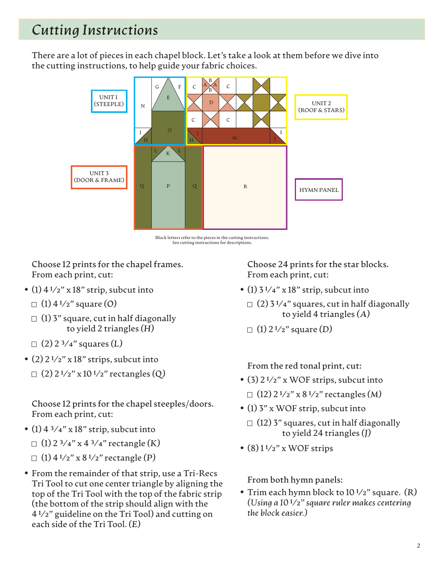# *Cutting Instructions*

There are a lot of pieces in each chapel block. Let's take a look at them before we dive into the cutting instructions, to help guide your fabric choices.



Block letters refer to the pieces in the cutting instructions. See cutting instructions for descriptions.

**Choose 12 prints for the chapel frames.**  From each print, cut:

- (1)  $4\frac{1}{2}$ " x 18" strip, subcut into
	- (1) 4 1⁄2" square *(O)*
	- $\Box$  (1) 3" square, cut in half diagonally to yield 2 triangles *(H)*
	- (2) 2 3⁄4" squares *(L)*
- $(2)$  2<sup>1</sup>/<sub>2</sub>" x 18" strips, subcut into
- (2) 2 1⁄2" x 10 1⁄2" rectangles *(Q)*

**Choose 12 prints for the chapel steeples/doors.** From each print, cut:

• (1)  $4\frac{3}{4}$ " x 18" strip, subcut into

(1) 2 3⁄4" x 4 3⁄4" rectangle *(K)*

- (1) 4 1⁄2" x 8 1⁄2" rectangle *(P)*
- From the remainder of that strip, use a Tri-Recs Tri Tool to cut one center triangle by aligning the top of the Tri Tool with the top of the fabric strip (the bottom of the strip should align with the 4 1⁄2" guideline on the Tri Tool) and cutting on each side of the Tri Tool. *(E)*

**Choose 24 prints for the star blocks.**  From each print, cut:

- (1)  $3\frac{1}{4}$ " x 18" strip, subcut into
	- $\Box$  (2) 3 <sup>1</sup>/4" squares, cut in half diagonally to yield 4 triangles *(A)*
	- (1) 2 1⁄2" square *(D)*

**From the red tonal print, cut:**

- (12) 2 1⁄2" x 8 1⁄2" rectangles *(M)* • (3) 2 1⁄2" x WOF strips, subcut into
- (1) 3" x WOF strip, subcut into
	- $\Box$  (12) 3" squares, cut in half diagonally to yield 24 triangles *(J)*
- $\bullet$  (8)  $1\frac{1}{2}$ " x WOF strips

**From both hymn panels:**

Trim each hymn block to 10 1⁄2" square. *(R)* • *(Using a 10* 1⁄2*" square ruler makes centering the block easier.)*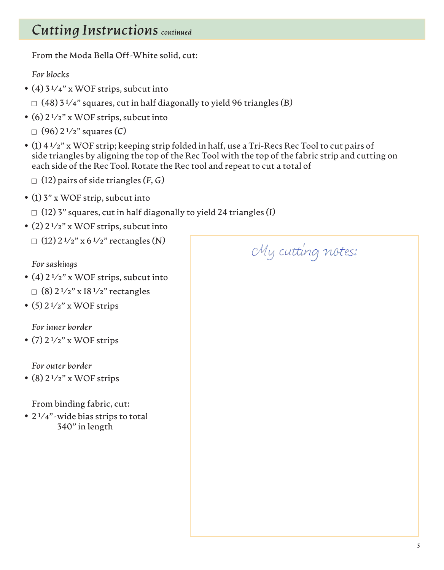# *Cutting Instructions continued*

**From the Moda Bella Off-White solid, cut:**

*For blocks*

• (4) 3 1⁄4" x WOF strips, subcut into

(48) 3 1⁄4" squares, cut in half diagonally to yield 96 triangles *(B)*

• (6) 2 1⁄2" x WOF strips, subcut into

(96) 2 1⁄2" squares *(C)*

- (1) 4 1⁄2" x WOF strip; keeping strip folded in half, use a Tri-Recs Rec Tool to cut pairs of side triangles by aligning the top of the Rec Tool with the top of the fabric strip and cutting on each side of the Rec Tool. Rotate the Rec tool and repeat to cut a total of
	- (12) pairs of side triangles *(F, G)*
- (1) 3" x WOF strip, subcut into

(12) 3" squares, cut in half diagonally to yield 24 triangles *(I)*

• (2)  $2\frac{1}{2}$ " x WOF strips, subcut into

(12) 2 1⁄2" x 6 1⁄2" rectangles *(N)*

#### *For sashings*

- $\Box$  (8) 2 <sup>1</sup>/2" x 18 <sup>1</sup>/2" rectangles • (4) 2 1⁄2" x WOF strips, subcut into
- $\bullet$  (5) 2<sup>1</sup>/<sub>2</sub>" x WOF strips

*For inner border*

 $\bullet$  (7) 2<sup>1</sup>/<sub>2</sub>" x WOF strips

*For outer border*

 $\bullet$  (8) 2<sup>1</sup>/<sub>2</sub>" x WOF strips

**From binding fabric, cut:**

• 2<sup>1</sup>/4"-wide bias strips to total 340" in length

My cutting notes: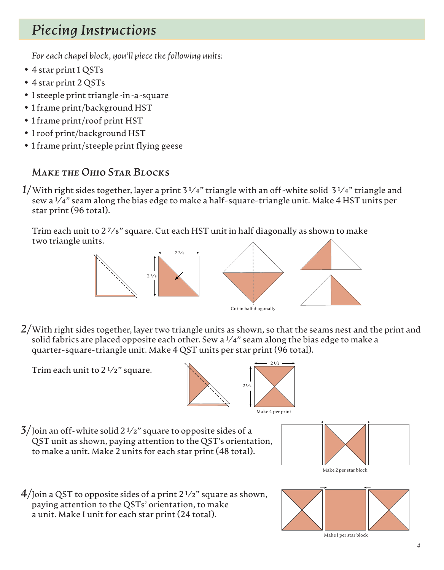# *Piecing Instructions*

*For each chapel block, you'll piece the following units:*

- 4 star print 1 QSTs
- 4 star print 2 QSTs
- 1 steeple print triangle-in-a-square
- 1 frame print/background HST
- 1 frame print/roof print HST
- 1 roof print/background HST
- 1 frame print/steeple print flying geese

#### *Make the Ohio Star Blocks*

Trim each unit to 2 1⁄2" square.

With right sides together, layer a print 3 1⁄4" triangle with an off-white solid 3 1⁄4" triangle and *1/* sew a  $1/4$ " seam along the bias edge to make a half-square-triangle unit. Make 4 HST units per star print (96 total).

Trim each unit to 2 7⁄8" square. Cut each HST unit in half diagonally as shown to make two triangle units.



With right sides together, layer two triangle units as shown, so that the seams nest and the print and *2/* solid fabrics are placed opposite each other. Sew a  $1/4$ " seam along the bias edge to make a quarter-square-triangle unit. Make 4 QST units per star print (96 total).



 $3/$  Join an off-white solid 2  $1/2$ " square to opposite sides of a QST unit as shown, paying attention to the QST's orientation, to make a unit. Make 2 units for each star print (48 total).



 $4$ /Join a QST to opposite sides of a print 2  $\frac{1}{2}$  square as shown, paying attention to the QSTs' orientation, to make a unit. Make 1 unit for each star print (24 total).

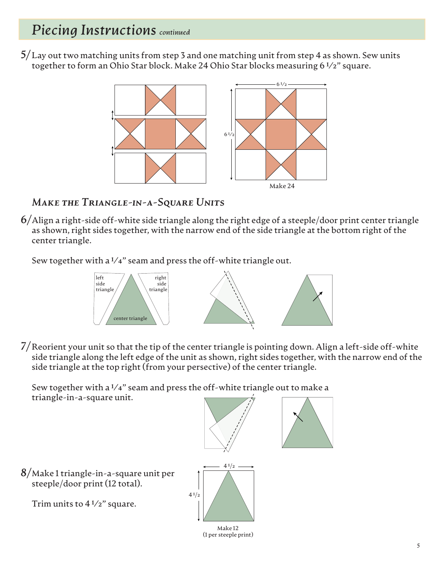Lay out two matching units from step 3 and one matching unit from step 4 as shown. Sew units *5/* together to form an Ohio Star block. Make 24 Ohio Star blocks measuring 6 1⁄2" square.



#### *Make the Triangle-in-a-Square Units*

Align a right-side off-white side triangle along the right edge of a steeple/door print center triangle *6/* as shown, right sides together, with the narrow end of the side triangle at the bottom right of the center triangle.

Sew together with a  $1/4$ " seam and press the off-white triangle out.



Reorient your unit so that the tip of the center triangle is pointing down. Align a left-side off-white *7/* side triangle along the left edge of the unit as shown, right sides together, with the narrow end of the side triangle at the top right (from your persective) of the center triangle.

Sew together with a  $1/4$ " seam and press the off-white triangle out to make a triangle-in-a-square unit.

Make 1 triangle-in-a-square unit per *8/* steeple/door print (12 total). Trim units to  $4\frac{1}{2}$ " square.  $4^{1/2}$  $41/2$ 

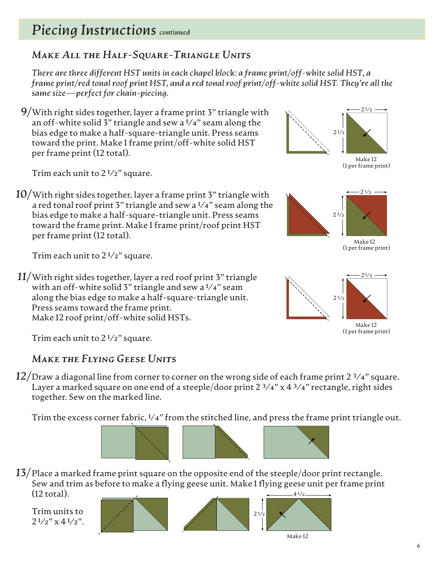### *Make All the Half-Square-Triangle Units*

*There are three different HST units in each chapel block: a frame print/off-white solid HST, a frame print/red tonal roof print HST, and a red tonal roof print/off-white solid HST. They're all the same size—perfect for chain-piecing.*

With right sides together, layer a frame print 3" triangle with *9/* an off-white solid 3" triangle and sew a  $1/4$ " seam along the bias edge to make a half-square-triangle unit. Press seams toward the print. Make 1 frame print/off-white solid HST per frame print (12 total).

With right sides together, layer a frame print 3" triangle with *10/* a red tonal roof print 3" triangle and sew a  $\frac{1}{4}$ " seam along the bias edge to make a half-square-triangle unit. Press seams toward the frame print. Make 1 frame print/roof print HST

With right sides together, layer a red roof print 3" triangle *11/* with an off-white solid 3" triangle and sew a  $1/4$ " seam along the bias edge to make a half-square-triangle unit.



Make 12 (1 per frame print)



Make 12 (1 per frame print)



Trim each unit to  $2\frac{1}{2}$  square.

per frame print (12 total).

Trim each unit to  $2\frac{1}{2}$ " square.

Trim each unit to  $2\frac{1}{2}$  square.

#### *Make the Flying Geese Units*

Press seams toward the frame print. Make 12 roof print/off-white solid HSTs.

 $12/\mathrm{Draw}$  a diagonal line from corner to corner on the wrong side of each frame print 2  $^{3}/$ 4" square. Layer a marked square on one end of a steeple/door print 2  $\frac{3}{4}$ " x 4  $\frac{3}{4}$ " rectangle, right sides together. Sew on the marked line.

Trim the excess corner fabric,  $1/4$ " from the stitched line, and press the frame print triangle out.



Place a marked frame print square on the opposite end of the steeple/door print rectangle. *13/* Sew and trim as before to make a flying geese unit. Make 1 flying geese unit per frame print (12 total).  $41/2$ 

Trim units to  $2^{1/2}$ " x 4 $1/2$ ".





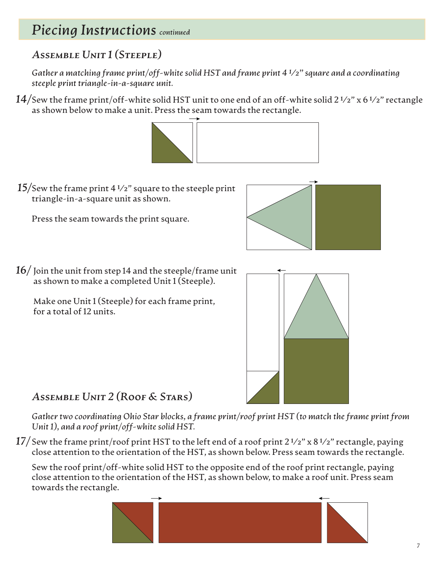### *Assemble Unit 1 (Steeple)*

*Gather a matching frame print/off-white solid HST and frame print 4 1⁄2" square and a coordinating steeple print triangle-in-a-square unit.*

 $14/\mathrm{S}$ ew the frame print/off-white solid HST unit to one end of an off-white solid 2 1/2" x 6 1/2" rectangle as shown below to make a unit. Press the seam towards the rectangle.



15/Sew the frame print 4 1/2" square to the steeple print triangle-in-a-square unit as shown.

Press the seam towards the print square.



 $16/$  Join the unit from step 14 and the steeple/frame unit as shown to make a completed Unit 1 (Steeple).

Make one Unit 1 (Steeple) for each frame print, for a total of 12 units.



*Assemble Unit 2 (Roof & Stars)*

*Gather two coordinating Ohio Star blocks, a frame print/roof print HST (to match the frame print from Unit 1), and a roof print/off-white solid HST.*

 $17/\,$ Sew the frame print/roof print HST to the left end of a roof print 2  $^{1}\!/$ 2" x 8  $^{1}\!/$ 2" rectangle, paying close attention to the orientation of the HST, as shown below. Press seam towards the rectangle.

Sew the roof print/off-white solid HST to the opposite end of the roof print rectangle, paying close attention to the orientation of the HST, as shown below, to make a roof unit. Press seam towards the rectangle.

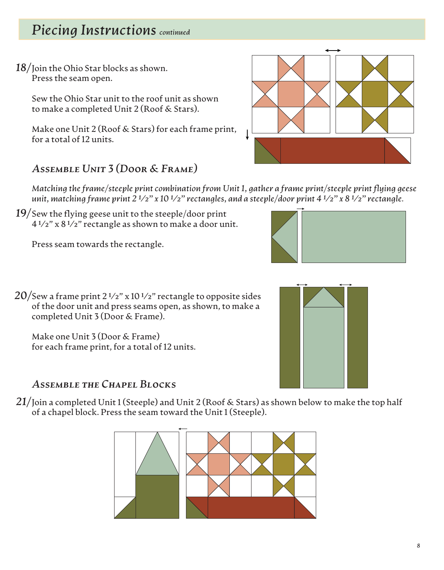Join the Ohio Star blocks as shown. *18/* Press the seam open.

Sew the Ohio Star unit to the roof unit as shown to make a completed Unit 2 (Roof & Stars).

Make one Unit 2 (Roof & Stars) for each frame print, for a total of 12 units.



#### *Assemble Unit 3 (Door & Frame)*

*Matching the frame/steeple print combination from Unit 1, gather a frame print/steeple print flying geese unit, matching frame print 2 1⁄2" x 10 1⁄2" rectangles, and a steeple/door print 4 1⁄2" x 8 1⁄2" rectangle.*

19/Sew the flying geese unit to the steeple/door print 4 1⁄2" x 8 1⁄2" rectangle as shown to make a door unit.

Press seam towards the rectangle.



Sew a frame print 2 1⁄2" x 10 1⁄2" rectangle to opposite sides *20/* of the door unit and press seams open, as shown, to make a completed Unit 3 (Door & Frame).

Make one Unit 3 (Door & Frame) for each frame print, for a total of 12 units.

#### *Assemble the Chapel Blocks*

 $21/$  Join a completed Unit 1 (Steeple) and Unit 2 (Roof & Stars) as shown below to make the top half of a chapel block. Press the seam toward the Unit 1 (Steeple).



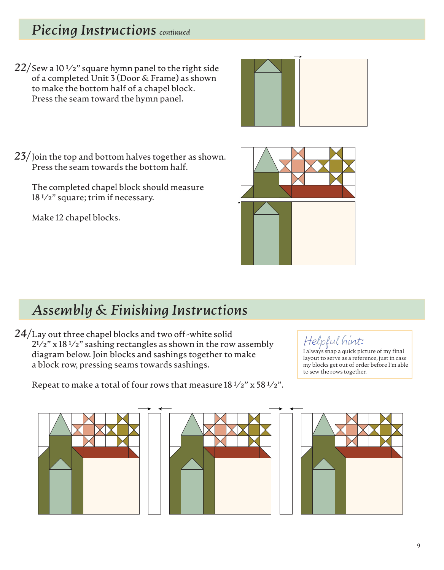22/Sew a 10 1/2" square hymn panel to the right side of a completed Unit 3 (Door & Frame) as shown to make the bottom half of a chapel block. Press the seam toward the hymn panel.



23/Join the top and bottom halves together as shown. Press the seam towards the bottom half.

The completed chapel block should measure 18 1⁄2" square; trim if necessary.

Make 12 chapel blocks.



# *Assembly & Finishing Instructions*

Lay out three chapel blocks and two off-white solid  $2^{1/2}$ " x 18 <sup>1</sup>/2" sashing rectangles as shown in the row assembly  $\left\{ \begin{array}{c} \text{Helpful him: } \end{array} \right.$ diagram below. Join blocks and sashings together to make a block row, pressing seams towards sashings. 24/Lay out three chapel blocks and two off-white solid

 $\mathcal{H}elp\mathcal{H}ul$  hint:<br>I always snap a quick picture of my final layout to serve as a reference, just in case my blocks get out of order before I'm able to sew the rows together.



#### Repeat to make a total of four rows that measure 18 1⁄2" x 58 1⁄2".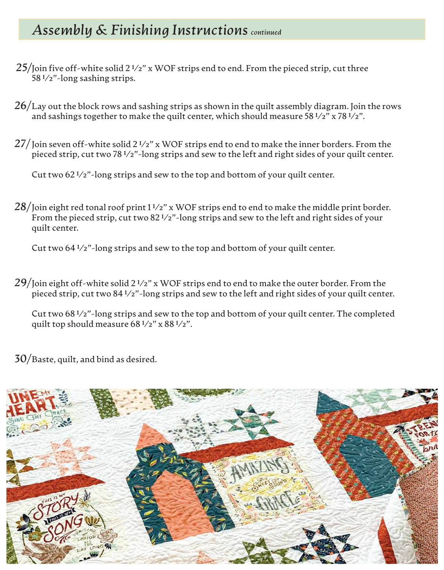# *Assembly & Finishing Instructions continued*

- 25/Join five off-white solid 2 1/2" x WOF strips end to end. From the pieced strip, cut three 58 1⁄2"-long sashing strips.
- $26/\rm{L}$ ay out the block rows and sashing strips as shown in the quilt assembly diagram. Join the rows and sashings together to make the quilt center, which should measure 58 $\frac{1}{2}$ " x 78 $\frac{1}{2}$ ".
- $27/$  Join seven off-white solid 2 1/2"  $\mathrm{x}$  WOF strips end to end to make the inner borders. From the pieced strip, cut two 78 1⁄2"-long strips and sew to the left and right sides of your quilt center.

Cut two  $62\frac{1}{2}$ "-long strips and sew to the top and bottom of your quilt center.

 $28/$ Join eight red tonal roof print 1 ½"  $\rm x$  WOF strips end to end to make the middle print border. From the pieced strip, cut two 82<sup>1</sup>/2"-long strips and sew to the left and right sides of your quilt center.

Cut two 64 1⁄2"-long strips and sew to the top and bottom of your quilt center.

*29/*Join eight off-white solid 2 1⁄2" x WOF strips end to end to make the outer border. From the pieced strip, cut two 84 1⁄2"-long strips and sew to the left and right sides of your quilt center.

Cut two 68 1⁄2"-long strips and sew to the top and bottom of your quilt center. The completed quilt top should measure 68 1⁄2" x 88 1⁄2".

*30/*Baste, quilt, and bind as desired.